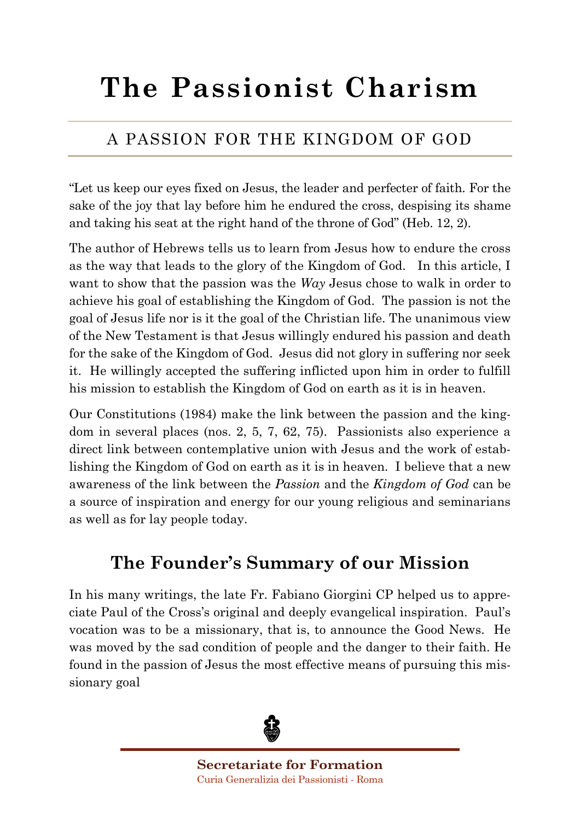# **The Passionist Charism**

#### A PASSION FOR THE KINGDOM OF GOD

"Let us keep our eyes fixed on Jesus, the leader and perfecter of faith. For the sake of the joy that lay before him he endured the cross, despising its shame and taking his seat at the right hand of the throne of God" (Heb. 12, 2).

The author of Hebrews tells us to learn from Jesus how to endure the cross as the way that leads to the glory of the Kingdom of God. In this article, I want to show that the passion was the *Way* Jesus chose to walk in order to achieve his goal of establishing the Kingdom of God. The passion is not the goal of Jesus life nor is it the goal of the Christian life. The unanimous view of the New Testament is that Jesus willingly endured his passion and death for the sake of the Kingdom of God. Jesus did not glory in suffering nor seek it. He willingly accepted the suffering inflicted upon him in order to fulfill his mission to establish the Kingdom of God on earth as it is in heaven.

Our Constitutions (1984) make the link between the passion and the kingdom in several places (nos. 2, 5, 7, 62, 75). Passionists also experience a direct link between contemplative union with Jesus and the work of establishing the Kingdom of God on earth as it is in heaven. I believe that a new awareness of the link between the *Passion* and the *Kingdom of God* can be a source of inspiration and energy for our young religious and seminarians as well as for lay people today.

## **The Founder's Summary of our Mission**

In his many writings, the late Fr. Fabiano Giorgini CP helped us to appreciate Paul of the Cross's original and deeply evangelical inspiration. Paul's vocation was to be a missionary, that is, to announce the Good News. He was moved by the sad condition of people and the danger to their faith. He found in the passion of Jesus the most effective means of pursuing this missionary goal

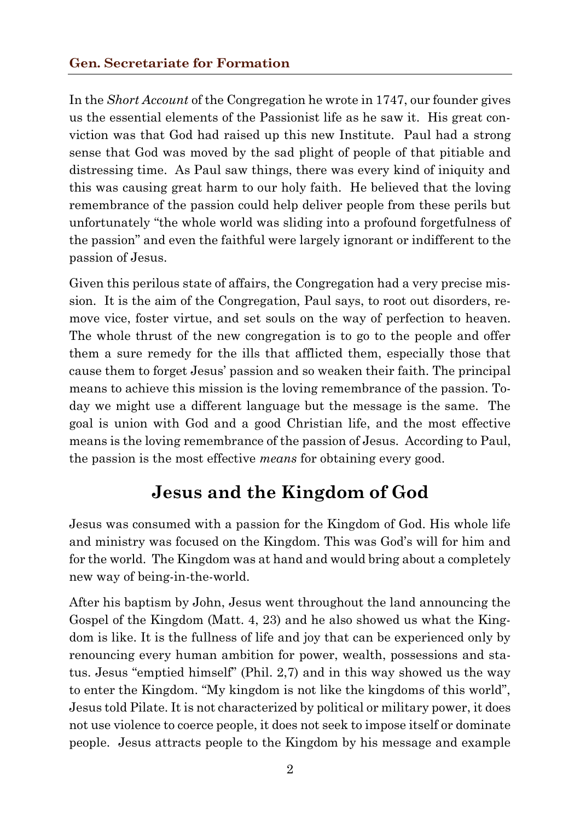In the *Short Account* of the Congregation he wrote in 1747, our founder gives us the essential elements of the Passionist life as he saw it. His great conviction was that God had raised up this new Institute. Paul had a strong sense that God was moved by the sad plight of people of that pitiable and distressing time. As Paul saw things, there was every kind of iniquity and this was causing great harm to our holy faith. He believed that the loving remembrance of the passion could help deliver people from these perils but unfortunately "the whole world was sliding into a profound forgetfulness of the passion" and even the faithful were largely ignorant or indifferent to the passion of Jesus.

Given this perilous state of affairs, the Congregation had a very precise mission. It is the aim of the Congregation, Paul says, to root out disorders, remove vice, foster virtue, and set souls on the way of perfection to heaven. The whole thrust of the new congregation is to go to the people and offer them a sure remedy for the ills that afflicted them, especially those that cause them to forget Jesus' passion and so weaken their faith. The principal means to achieve this mission is the loving remembrance of the passion. Today we might use a different language but the message is the same. The goal is union with God and a good Christian life, and the most effective means is the loving remembrance of the passion of Jesus. According to Paul, the passion is the most effective *means* for obtaining every good.

## **Jesus and the Kingdom of God**

Jesus was consumed with a passion for the Kingdom of God. His whole life and ministry was focused on the Kingdom. This was God's will for him and for the world. The Kingdom was at hand and would bring about a completely new way of being-in-the-world.

After his baptism by John, Jesus went throughout the land announcing the Gospel of the Kingdom (Matt. 4, 23) and he also showed us what the Kingdom is like. It is the fullness of life and joy that can be experienced only by renouncing every human ambition for power, wealth, possessions and status. Jesus "emptied himself" (Phil. 2,7) and in this way showed us the way to enter the Kingdom. "My kingdom is not like the kingdoms of this world", Jesus told Pilate. It is not characterized by political or military power, it does not use violence to coerce people, it does not seek to impose itself or dominate people. Jesus attracts people to the Kingdom by his message and example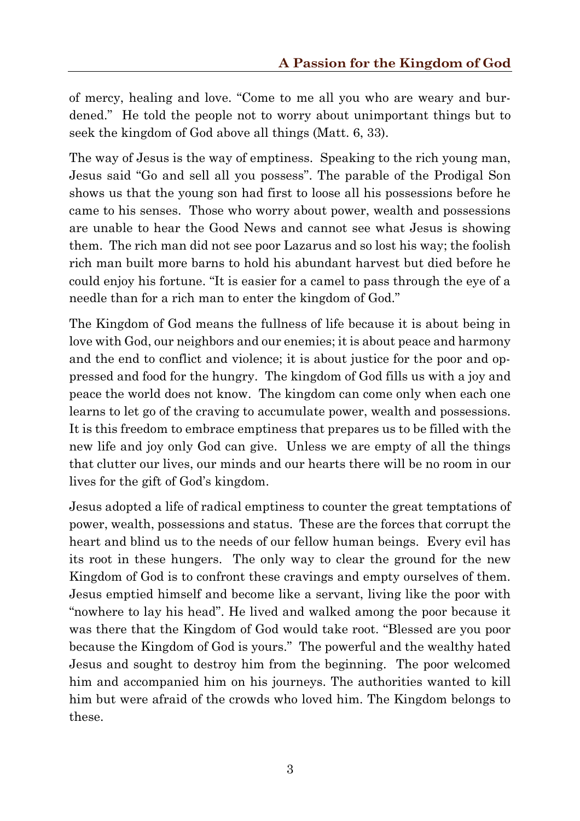of mercy, healing and love. "Come to me all you who are weary and burdened." He told the people not to worry about unimportant things but to seek the kingdom of God above all things (Matt. 6, 33).

The way of Jesus is the way of emptiness. Speaking to the rich young man, Jesus said "Go and sell all you possess". The parable of the Prodigal Son shows us that the young son had first to loose all his possessions before he came to his senses. Those who worry about power, wealth and possessions are unable to hear the Good News and cannot see what Jesus is showing them. The rich man did not see poor Lazarus and so lost his way; the foolish rich man built more barns to hold his abundant harvest but died before he could enjoy his fortune. "It is easier for a camel to pass through the eye of a needle than for a rich man to enter the kingdom of God."

The Kingdom of God means the fullness of life because it is about being in love with God, our neighbors and our enemies; it is about peace and harmony and the end to conflict and violence; it is about justice for the poor and oppressed and food for the hungry. The kingdom of God fills us with a joy and peace the world does not know. The kingdom can come only when each one learns to let go of the craving to accumulate power, wealth and possessions. It is this freedom to embrace emptiness that prepares us to be filled with the new life and joy only God can give. Unless we are empty of all the things that clutter our lives, our minds and our hearts there will be no room in our lives for the gift of God's kingdom.

Jesus adopted a life of radical emptiness to counter the great temptations of power, wealth, possessions and status. These are the forces that corrupt the heart and blind us to the needs of our fellow human beings. Every evil has its root in these hungers. The only way to clear the ground for the new Kingdom of God is to confront these cravings and empty ourselves of them. Jesus emptied himself and become like a servant, living like the poor with "nowhere to lay his head". He lived and walked among the poor because it was there that the Kingdom of God would take root. "Blessed are you poor because the Kingdom of God is yours." The powerful and the wealthy hated Jesus and sought to destroy him from the beginning. The poor welcomed him and accompanied him on his journeys. The authorities wanted to kill him but were afraid of the crowds who loved him. The Kingdom belongs to these.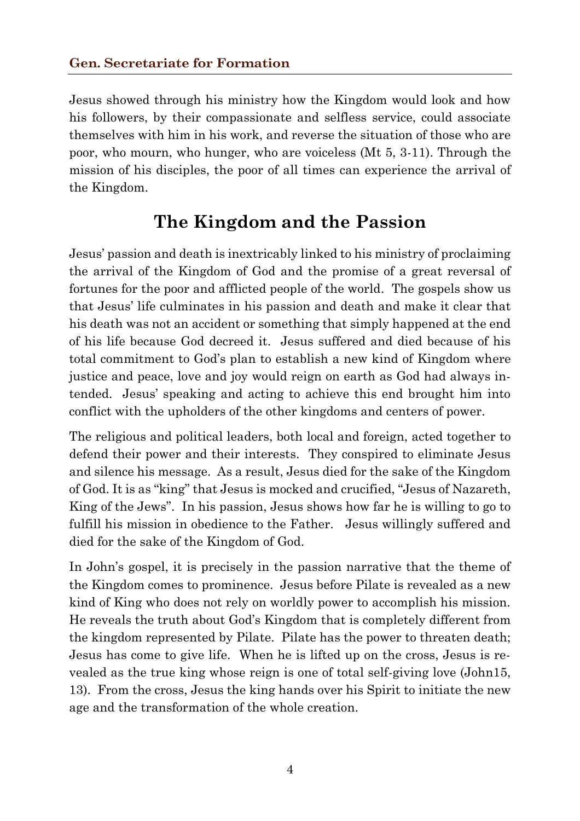Jesus showed through his ministry how the Kingdom would look and how his followers, by their compassionate and selfless service, could associate themselves with him in his work, and reverse the situation of those who are poor, who mourn, who hunger, who are voiceless (Mt 5, 3-11). Through the mission of his disciples, the poor of all times can experience the arrival of the Kingdom.

#### **The Kingdom and the Passion**

Jesus' passion and death is inextricably linked to his ministry of proclaiming the arrival of the Kingdom of God and the promise of a great reversal of fortunes for the poor and afflicted people of the world. The gospels show us that Jesus' life culminates in his passion and death and make it clear that his death was not an accident or something that simply happened at the end of his life because God decreed it. Jesus suffered and died because of his total commitment to God's plan to establish a new kind of Kingdom where justice and peace, love and joy would reign on earth as God had always intended. Jesus' speaking and acting to achieve this end brought him into conflict with the upholders of the other kingdoms and centers of power.

The religious and political leaders, both local and foreign, acted together to defend their power and their interests. They conspired to eliminate Jesus and silence his message. As a result, Jesus died for the sake of the Kingdom of God. It is as "king" that Jesus is mocked and crucified, "Jesus of Nazareth, King of the Jews". In his passion, Jesus shows how far he is willing to go to fulfill his mission in obedience to the Father. Jesus willingly suffered and died for the sake of the Kingdom of God.

In John's gospel, it is precisely in the passion narrative that the theme of the Kingdom comes to prominence. Jesus before Pilate is revealed as a new kind of King who does not rely on worldly power to accomplish his mission. He reveals the truth about God's Kingdom that is completely different from the kingdom represented by Pilate. Pilate has the power to threaten death; Jesus has come to give life. When he is lifted up on the cross, Jesus is revealed as the true king whose reign is one of total self-giving love (John15, 13). From the cross, Jesus the king hands over his Spirit to initiate the new age and the transformation of the whole creation.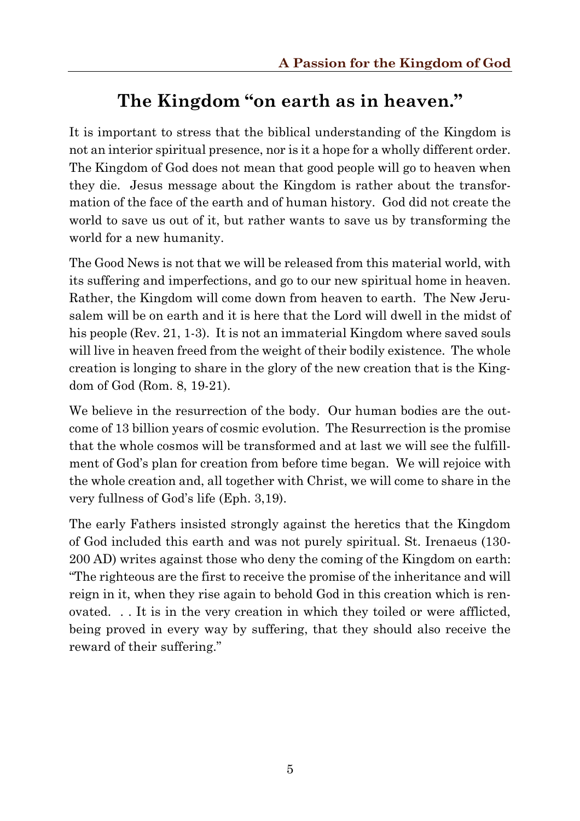# **The Kingdom "on earth as in heaven."**

It is important to stress that the biblical understanding of the Kingdom is not an interior spiritual presence, nor is it a hope for a wholly different order. The Kingdom of God does not mean that good people will go to heaven when they die. Jesus message about the Kingdom is rather about the transformation of the face of the earth and of human history. God did not create the world to save us out of it, but rather wants to save us by transforming the world for a new humanity.

The Good News is not that we will be released from this material world, with its suffering and imperfections, and go to our new spiritual home in heaven. Rather, the Kingdom will come down from heaven to earth. The New Jerusalem will be on earth and it is here that the Lord will dwell in the midst of his people (Rev. 21, 1-3). It is not an immaterial Kingdom where saved souls will live in heaven freed from the weight of their bodily existence. The whole creation is longing to share in the glory of the new creation that is the Kingdom of God (Rom. 8, 19-21).

We believe in the resurrection of the body. Our human bodies are the outcome of 13 billion years of cosmic evolution. The Resurrection is the promise that the whole cosmos will be transformed and at last we will see the fulfillment of God's plan for creation from before time began. We will rejoice with the whole creation and, all together with Christ, we will come to share in the very fullness of God's life (Eph. 3,19).

The early Fathers insisted strongly against the heretics that the Kingdom of God included this earth and was not purely spiritual. St. Irenaeus (130- 200 AD) writes against those who deny the coming of the Kingdom on earth: "The righteous are the first to receive the promise of the inheritance and will reign in it, when they rise again to behold God in this creation which is renovated. . . It is in the very creation in which they toiled or were afflicted, being proved in every way by suffering, that they should also receive the reward of their suffering."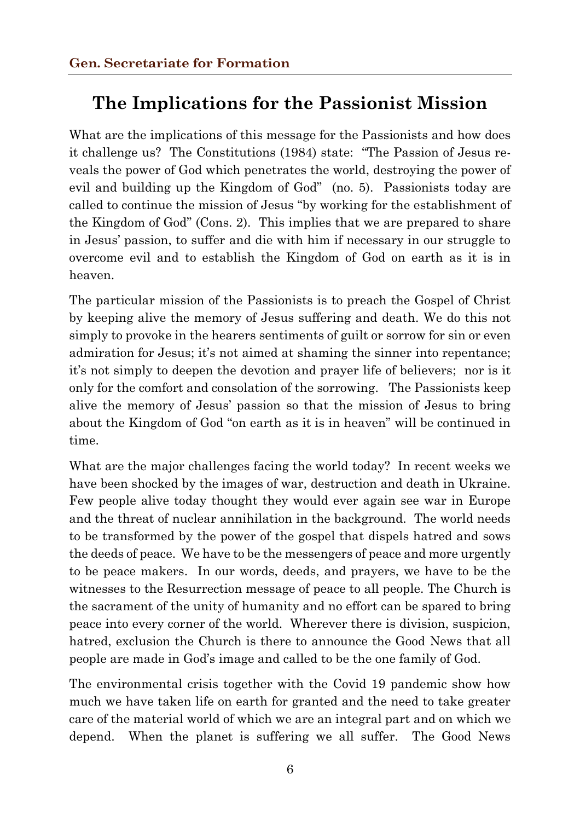#### **The Implications for the Passionist Mission**

What are the implications of this message for the Passionists and how does it challenge us? The Constitutions (1984) state: "The Passion of Jesus reveals the power of God which penetrates the world, destroying the power of evil and building up the Kingdom of God" (no. 5). Passionists today are called to continue the mission of Jesus "by working for the establishment of the Kingdom of God" (Cons. 2). This implies that we are prepared to share in Jesus' passion, to suffer and die with him if necessary in our struggle to overcome evil and to establish the Kingdom of God on earth as it is in heaven.

The particular mission of the Passionists is to preach the Gospel of Christ by keeping alive the memory of Jesus suffering and death. We do this not simply to provoke in the hearers sentiments of guilt or sorrow for sin or even admiration for Jesus; it's not aimed at shaming the sinner into repentance; it's not simply to deepen the devotion and prayer life of believers; nor is it only for the comfort and consolation of the sorrowing. The Passionists keep alive the memory of Jesus' passion so that the mission of Jesus to bring about the Kingdom of God "on earth as it is in heaven" will be continued in time.

What are the major challenges facing the world today? In recent weeks we have been shocked by the images of war, destruction and death in Ukraine. Few people alive today thought they would ever again see war in Europe and the threat of nuclear annihilation in the background. The world needs to be transformed by the power of the gospel that dispels hatred and sows the deeds of peace. We have to be the messengers of peace and more urgently to be peace makers. In our words, deeds, and prayers, we have to be the witnesses to the Resurrection message of peace to all people. The Church is the sacrament of the unity of humanity and no effort can be spared to bring peace into every corner of the world. Wherever there is division, suspicion, hatred, exclusion the Church is there to announce the Good News that all people are made in God's image and called to be the one family of God.

The environmental crisis together with the Covid 19 pandemic show how much we have taken life on earth for granted and the need to take greater care of the material world of which we are an integral part and on which we depend. When the planet is suffering we all suffer. The Good News